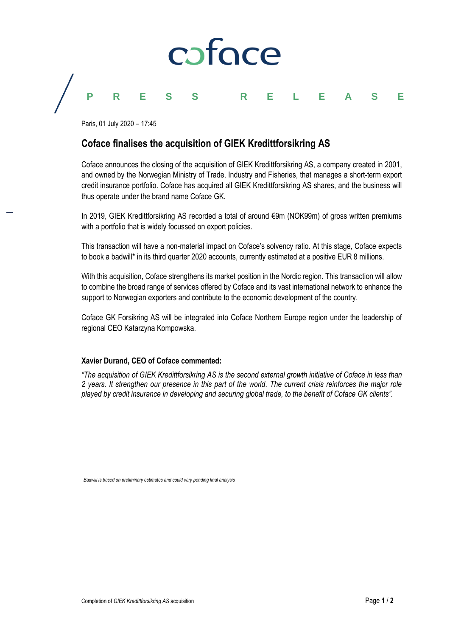

## **PRESS RELEASE**

Paris, 01 July 2020 – 17:45

## **Coface finalises the acquisition of GIEK Kredittforsikring AS**

Coface announces the closing of the acquisition of GIEK Kredittforsikring AS, a company created in 2001, and owned by the Norwegian Ministry of Trade, Industry and Fisheries, that manages a short-term export credit insurance portfolio. Coface has acquired all GIEK Kredittforsikring AS shares, and the business will thus operate under the brand name Coface GK.

In 2019, GIEK Kredittforsikring AS recorded a total of around €9m (NOK99m) of gross written premiums with a portfolio that is widely focussed on export policies.

This transaction will have a non-material impact on Coface's solvency ratio. At this stage, Coface expects to book a badwill\* in its third quarter 2020 accounts, currently estimated at a positive EUR 8 millions.

With this acquisition, Coface strengthens its market position in the Nordic region. This transaction will allow to combine the broad range of services offered by Coface and its vast international network to enhance the support to Norwegian exporters and contribute to the economic development of the country.

Coface GK Forsikring AS will be integrated into Coface Northern Europe region under the leadership of regional CEO Katarzyna Kompowska.

#### **Xavier Durand, CEO of Coface commented:**

*"The acquisition of GIEK Kredittforsikring AS is the second external growth initiative of Coface in less than 2 years. It strengthen our presence in this part of the world. The current crisis reinforces the major role played by credit insurance in developing and securing global trade, to the benefit of Coface GK clients".*

*Badwill is based on preliminary estimates and could vary pending final analysis*